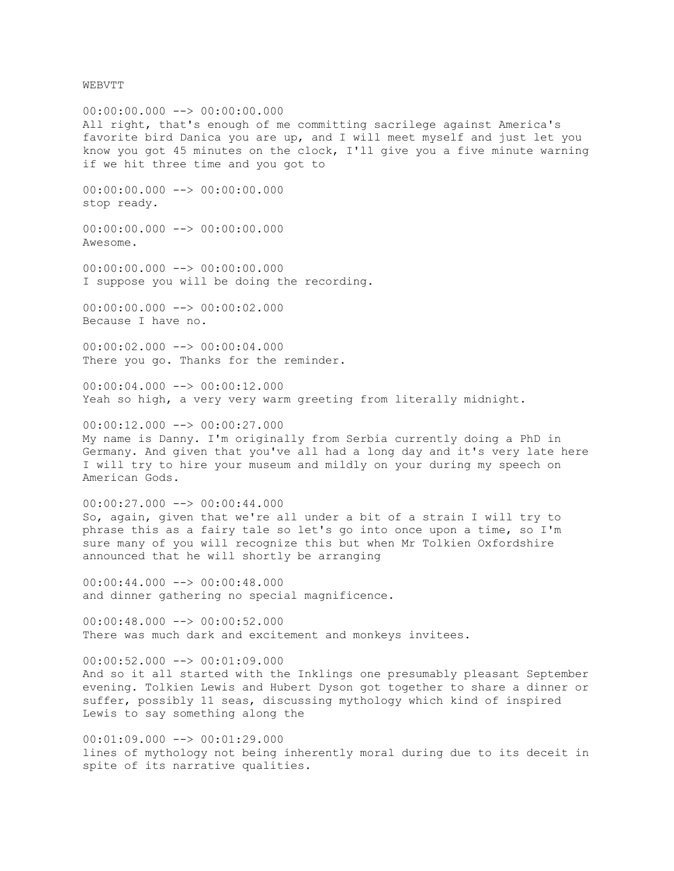WEBVTT

 $00:00:00.000$   $\longrightarrow$  00:00:00.000 All right, that's enough of me committing sacrilege against America's favorite bird Danica you are up, and I will meet myself and just let you know you got 45 minutes on the clock, I'll give you a five minute warning if we hit three time and you got to  $00:00:00.000$  -->  $00:00:00.000$ stop ready.  $00:00:00.000$  -->  $00:00:00.000$ Awesome.  $00:00:000.000$  -->  $00:00:000.000$ I suppose you will be doing the recording.  $00:00:00.000$   $\rightarrow$   $\rightarrow$  00:00:02.000 Because I have no.  $00:00:02.000$  -->  $00:00:04.000$ There you go. Thanks for the reminder.  $00:00:04.000$  -->  $00:00:12.000$ Yeah so high, a very very warm greeting from literally midnight. 00:00:12.000 --> 00:00:27.000 My name is Danny. I'm originally from Serbia currently doing a PhD in Germany. And given that you've all had a long day and it's very late here I will try to hire your museum and mildly on your during my speech on American Gods.  $00:00:27.000$   $\longrightarrow$  00:00:44.000 So, again, given that we're all under a bit of a strain I will try to phrase this as a fairy tale so let's go into once upon a time, so I'm sure many of you will recognize this but when Mr Tolkien Oxfordshire announced that he will shortly be arranging  $00:00:44.000$  -->  $00:00:48.000$ and dinner gathering no special magnificence. 00:00:48.000 --> 00:00:52.000 There was much dark and excitement and monkeys invitees.  $00:00:52.000$  -->  $00:01:09.000$ And so it all started with the Inklings one presumably pleasant September evening. Tolkien Lewis and Hubert Dyson got together to share a dinner or suffer, possibly 11 seas, discussing mythology which kind of inspired Lewis to say something along the  $00:01:09.000$  -->  $00:01:29.000$ lines of mythology not being inherently moral during due to its deceit in

spite of its narrative qualities.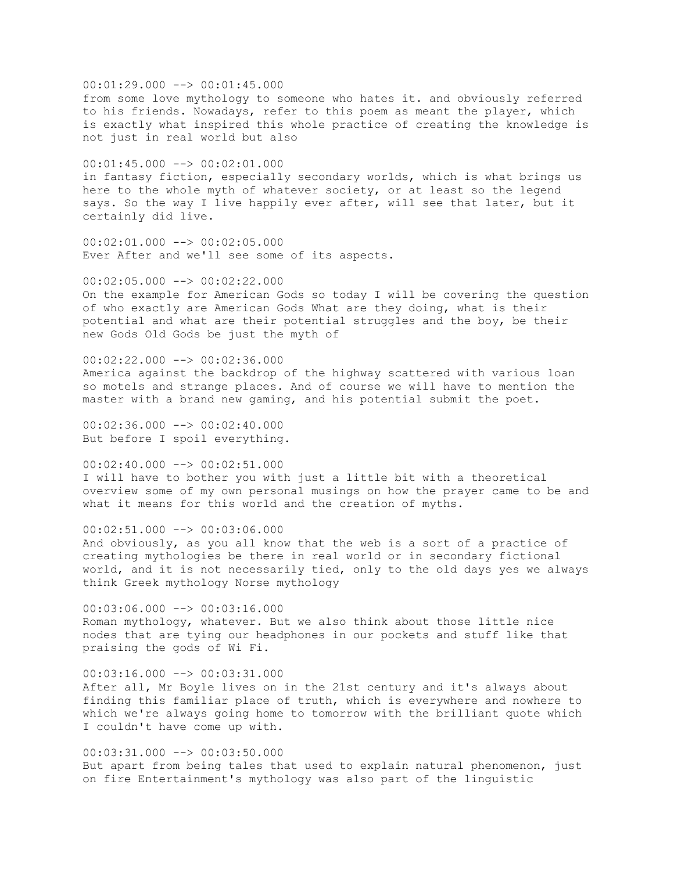$00:01:29.000$  -->  $00:01:45.000$ from some love mythology to someone who hates it. and obviously referred to his friends. Nowadays, refer to this poem as meant the player, which is exactly what inspired this whole practice of creating the knowledge is not just in real world but also 00:01:45.000 --> 00:02:01.000 in fantasy fiction, especially secondary worlds, which is what brings us here to the whole myth of whatever society, or at least so the legend says. So the way I live happily ever after, will see that later, but it certainly did live. 00:02:01.000 --> 00:02:05.000 Ever After and we'll see some of its aspects.  $00:02:05.000$  -->  $00:02:22.000$ On the example for American Gods so today I will be covering the question of who exactly are American Gods What are they doing, what is their potential and what are their potential struggles and the boy, be their new Gods Old Gods be just the myth of

00:02:22.000 --> 00:02:36.000 America against the backdrop of the highway scattered with various loan so motels and strange places. And of course we will have to mention the master with a brand new gaming, and his potential submit the poet.

 $00:02:36.000$  -->  $00:02:40.000$ But before I spoil everything.

00:02:40.000 --> 00:02:51.000 I will have to bother you with just a little bit with a theoretical overview some of my own personal musings on how the prayer came to be and what it means for this world and the creation of myths.

00:02:51.000 --> 00:03:06.000 And obviously, as you all know that the web is a sort of a practice of creating mythologies be there in real world or in secondary fictional world, and it is not necessarily tied, only to the old days yes we always think Greek mythology Norse mythology

00:03:06.000 --> 00:03:16.000 Roman mythology, whatever. But we also think about those little nice nodes that are tying our headphones in our pockets and stuff like that praising the gods of Wi Fi.

00:03:16.000 --> 00:03:31.000 After all, Mr Boyle lives on in the 21st century and it's always about finding this familiar place of truth, which is everywhere and nowhere to which we're always going home to tomorrow with the brilliant quote which I couldn't have come up with.

 $00:03:31.000$  -->  $00:03:50.000$ But apart from being tales that used to explain natural phenomenon, just on fire Entertainment's mythology was also part of the linguistic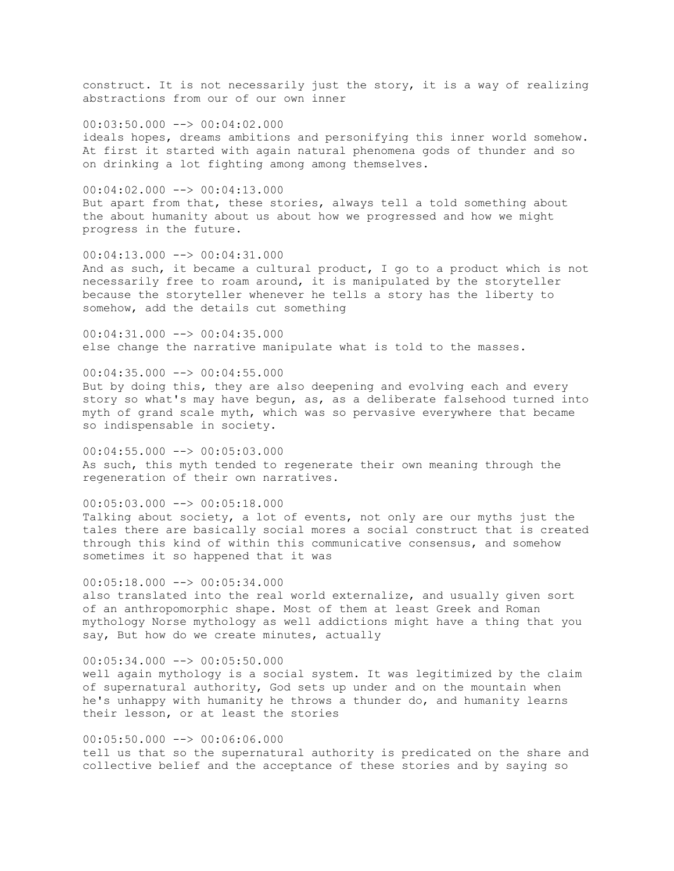construct. It is not necessarily just the story, it is a way of realizing abstractions from our of our own inner

 $00:03:50.000$   $\rightarrow$   $\rightarrow$  00:04:02.000 ideals hopes, dreams ambitions and personifying this inner world somehow. At first it started with again natural phenomena gods of thunder and so on drinking a lot fighting among among themselves.

 $00:04:02.000$  -->  $00:04:13.000$ But apart from that, these stories, always tell a told something about the about humanity about us about how we progressed and how we might progress in the future.

00:04:13.000 --> 00:04:31.000 And as such, it became a cultural product, I go to a product which is not necessarily free to roam around, it is manipulated by the storyteller because the storyteller whenever he tells a story has the liberty to somehow, add the details cut something

00:04:31.000 --> 00:04:35.000 else change the narrative manipulate what is told to the masses.

00:04:35.000 --> 00:04:55.000 But by doing this, they are also deepening and evolving each and every story so what's may have begun, as, as a deliberate falsehood turned into myth of grand scale myth, which was so pervasive everywhere that became so indispensable in society.

00:04:55.000 --> 00:05:03.000 As such, this myth tended to regenerate their own meaning through the regeneration of their own narratives.

 $00:05:03.000$  -->  $00:05:18.000$ 

Talking about society, a lot of events, not only are our myths just the tales there are basically social mores a social construct that is created through this kind of within this communicative consensus, and somehow sometimes it so happened that it was

 $00:05:18.000$  -->  $00:05:34.000$ also translated into the real world externalize, and usually given sort of an anthropomorphic shape. Most of them at least Greek and Roman mythology Norse mythology as well addictions might have a thing that you say, But how do we create minutes, actually

 $00:05:34.000$  -->  $00:05:50.000$ well again mythology is a social system. It was legitimized by the claim of supernatural authority, God sets up under and on the mountain when he's unhappy with humanity he throws a thunder do, and humanity learns their lesson, or at least the stories

 $00:05:50.000$  -->  $00:06:06.000$ tell us that so the supernatural authority is predicated on the share and collective belief and the acceptance of these stories and by saying so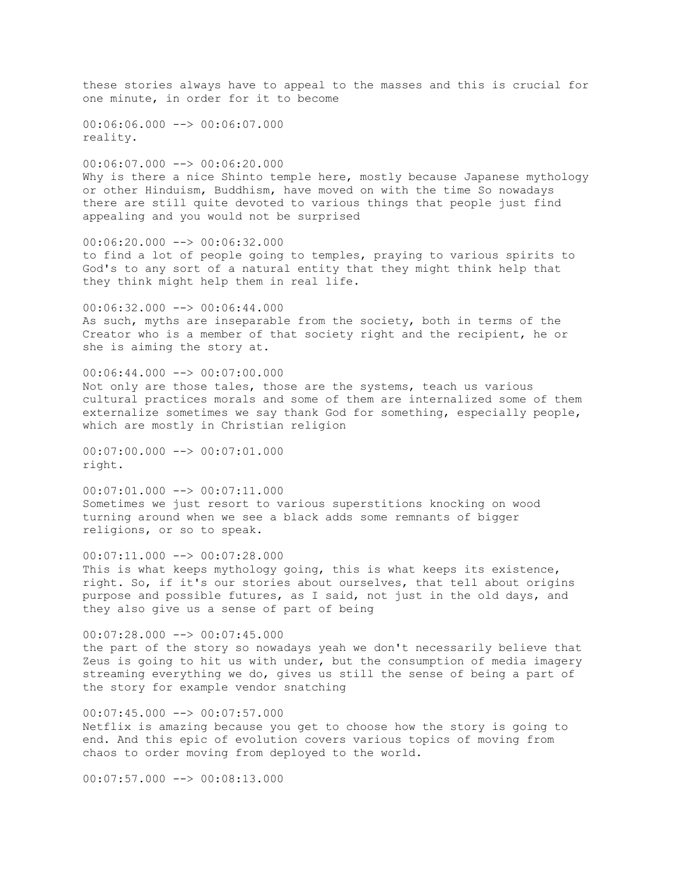these stories always have to appeal to the masses and this is crucial for one minute, in order for it to become  $00:06:06.000$  -->  $00:06:07.000$ reality.  $00:06:07.000$  -->  $00:06:20.000$ Why is there a nice Shinto temple here, mostly because Japanese mythology or other Hinduism, Buddhism, have moved on with the time So nowadays there are still quite devoted to various things that people just find appealing and you would not be surprised 00:06:20.000 --> 00:06:32.000 to find a lot of people going to temples, praying to various spirits to God's to any sort of a natural entity that they might think help that they think might help them in real life.  $00:06:32.000$  -->  $00:06:44.000$ As such, myths are inseparable from the society, both in terms of the Creator who is a member of that society right and the recipient, he or she is aiming the story at. 00:06:44.000 --> 00:07:00.000 Not only are those tales, those are the systems, teach us various cultural practices morals and some of them are internalized some of them externalize sometimes we say thank God for something, especially people, which are mostly in Christian religion 00:07:00.000 --> 00:07:01.000 right.  $00:07:01.000$  -->  $00:07:11.000$ Sometimes we just resort to various superstitions knocking on wood

turning around when we see a black adds some remnants of bigger religions, or so to speak. 00:07:11.000 --> 00:07:28.000 This is what keeps mythology going, this is what keeps its existence,

right. So, if it's our stories about ourselves, that tell about origins purpose and possible futures, as I said, not just in the old days, and they also give us a sense of part of being

 $00:07:28.000$  -->  $00:07:45.000$ the part of the story so nowadays yeah we don't necessarily believe that Zeus is going to hit us with under, but the consumption of media imagery streaming everything we do, gives us still the sense of being a part of the story for example vendor snatching

00:07:45.000 --> 00:07:57.000 Netflix is amazing because you get to choose how the story is going to end. And this epic of evolution covers various topics of moving from chaos to order moving from deployed to the world.

 $00:07:57.000$   $\rightarrow$   $\rightarrow$  00:08:13.000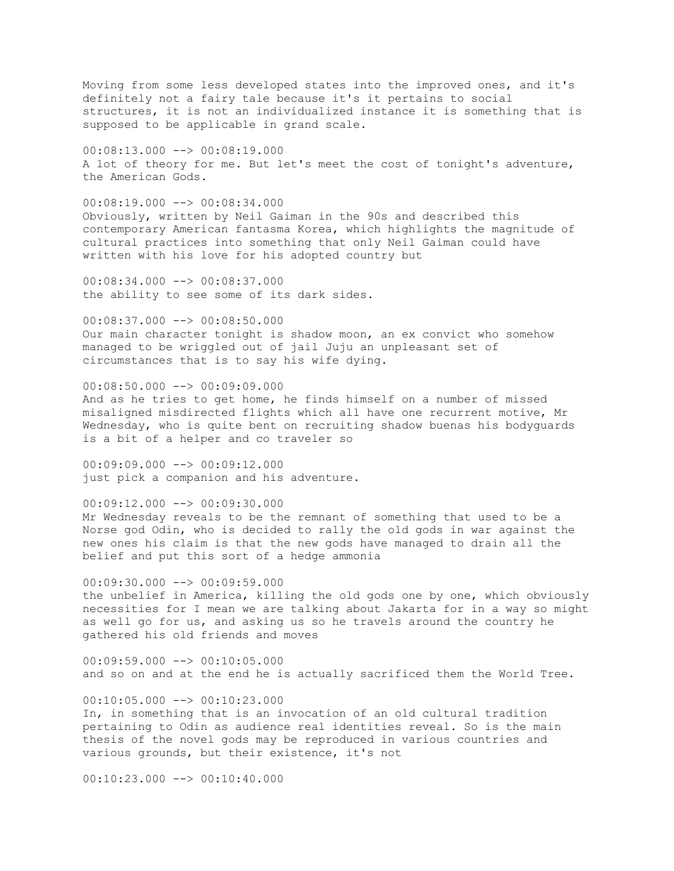Moving from some less developed states into the improved ones, and it's definitely not a fairy tale because it's it pertains to social structures, it is not an individualized instance it is something that is supposed to be applicable in grand scale.

00:08:13.000 --> 00:08:19.000 A lot of theory for me. But let's meet the cost of tonight's adventure, the American Gods.

 $00:08:19.000$  -->  $00:08:34.000$ Obviously, written by Neil Gaiman in the 90s and described this contemporary American fantasma Korea, which highlights the magnitude of cultural practices into something that only Neil Gaiman could have written with his love for his adopted country but

00:08:34.000 --> 00:08:37.000 the ability to see some of its dark sides.

00:08:37.000 --> 00:08:50.000 Our main character tonight is shadow moon, an ex convict who somehow managed to be wriggled out of jail Juju an unpleasant set of circumstances that is to say his wife dying.

00:08:50.000 --> 00:09:09.000 And as he tries to get home, he finds himself on a number of missed misaligned misdirected flights which all have one recurrent motive, Mr Wednesday, who is quite bent on recruiting shadow buenas his bodyguards is a bit of a helper and co traveler so

00:09:09.000 --> 00:09:12.000 just pick a companion and his adventure.

00:09:12.000 --> 00:09:30.000 Mr Wednesday reveals to be the remnant of something that used to be a Norse god Odin, who is decided to rally the old gods in war against the new ones his claim is that the new gods have managed to drain all the belief and put this sort of a hedge ammonia

 $00:09:30.000$  -->  $00:09:59.000$ the unbelief in America, killing the old gods one by one, which obviously necessities for I mean we are talking about Jakarta for in a way so might as well go for us, and asking us so he travels around the country he gathered his old friends and moves

 $00:09:59.000$   $\longrightarrow$  00:10:05.000 and so on and at the end he is actually sacrificed them the World Tree.

 $00:10:05.000$  -->  $00:10:23.000$ In, in something that is an invocation of an old cultural tradition pertaining to Odin as audience real identities reveal. So is the main thesis of the novel gods may be reproduced in various countries and various grounds, but their existence, it's not

 $00:10:23.000$  -->  $00:10:40.000$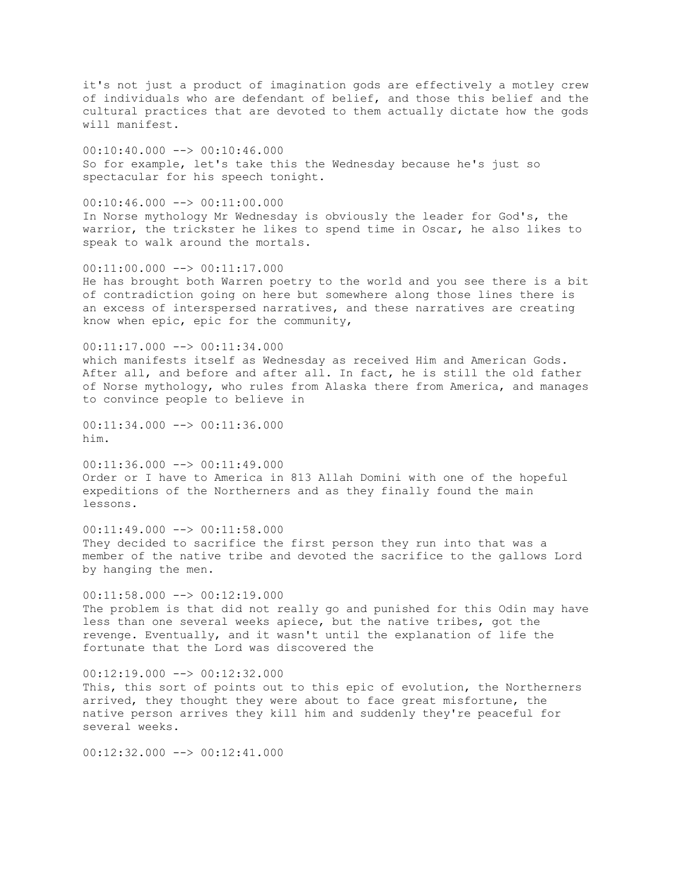it's not just a product of imagination gods are effectively a motley crew of individuals who are defendant of belief, and those this belief and the cultural practices that are devoted to them actually dictate how the gods will manifest.

 $00:10:40.000$   $\longrightarrow$  00:10:46.000 So for example, let's take this the Wednesday because he's just so spectacular for his speech tonight.

 $00:10:46.000$  -->  $00:11:00.000$ In Norse mythology Mr Wednesday is obviously the leader for God's, the warrior, the trickster he likes to spend time in Oscar, he also likes to speak to walk around the mortals.

00:11:00.000 --> 00:11:17.000 He has brought both Warren poetry to the world and you see there is a bit of contradiction going on here but somewhere along those lines there is an excess of interspersed narratives, and these narratives are creating know when epic, epic for the community,

00:11:17.000 --> 00:11:34.000 which manifests itself as Wednesday as received Him and American Gods. After all, and before and after all. In fact, he is still the old father of Norse mythology, who rules from Alaska there from America, and manages to convince people to believe in

00:11:34.000 --> 00:11:36.000 him.

 $00:11:36.000$  -->  $00:11:49.000$ Order or I have to America in 813 Allah Domini with one of the hopeful expeditions of the Northerners and as they finally found the main lessons.

00:11:49.000 --> 00:11:58.000 They decided to sacrifice the first person they run into that was a member of the native tribe and devoted the sacrifice to the gallows Lord by hanging the men.

 $00:11:58.000$   $\rightarrow$   $00:12:19.000$ The problem is that did not really go and punished for this Odin may have less than one several weeks apiece, but the native tribes, got the revenge. Eventually, and it wasn't until the explanation of life the fortunate that the Lord was discovered the

 $00:12:19.000$   $\longrightarrow$   $00:12:32.000$ This, this sort of points out to this epic of evolution, the Northerners arrived, they thought they were about to face great misfortune, the native person arrives they kill him and suddenly they're peaceful for several weeks.

00:12:32.000 --> 00:12:41.000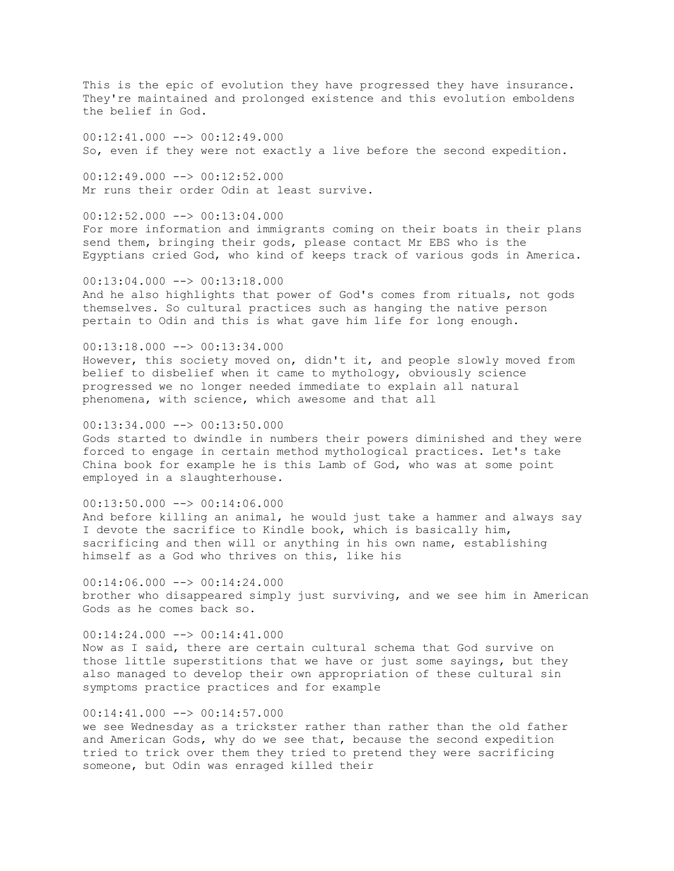This is the epic of evolution they have progressed they have insurance. They're maintained and prolonged existence and this evolution emboldens the belief in God.

00:12:41.000 --> 00:12:49.000 So, even if they were not exactly a live before the second expedition.

 $00:12:49.000$  -->  $00:12:52.000$ Mr runs their order Odin at least survive.

 $00:12:52.000$  -->  $00:13:04.000$ For more information and immigrants coming on their boats in their plans send them, bringing their gods, please contact Mr EBS who is the Egyptians cried God, who kind of keeps track of various gods in America.

 $00:13:04.000$  -->  $00:13:18.000$ And he also highlights that power of God's comes from rituals, not gods themselves. So cultural practices such as hanging the native person pertain to Odin and this is what gave him life for long enough.

00:13:18.000 --> 00:13:34.000 However, this society moved on, didn't it, and people slowly moved from belief to disbelief when it came to mythology, obviously science progressed we no longer needed immediate to explain all natural phenomena, with science, which awesome and that all

 $00:13:34.000$  -->  $00:13:50.000$ 

Gods started to dwindle in numbers their powers diminished and they were forced to engage in certain method mythological practices. Let's take China book for example he is this Lamb of God, who was at some point employed in a slaughterhouse.

 $00:13:50.000$  -->  $00:14:06.000$ And before killing an animal, he would just take a hammer and always say I devote the sacrifice to Kindle book, which is basically him, sacrificing and then will or anything in his own name, establishing himself as a God who thrives on this, like his

 $00:14:06.000$  -->  $00:14:24.000$ brother who disappeared simply just surviving, and we see him in American Gods as he comes back so.

00:14:24.000 --> 00:14:41.000 Now as I said, there are certain cultural schema that God survive on those little superstitions that we have or just some sayings, but they also managed to develop their own appropriation of these cultural sin symptoms practice practices and for example

 $00:14:41.000$  -->  $00:14:57.000$ 

we see Wednesday as a trickster rather than rather than the old father and American Gods, why do we see that, because the second expedition tried to trick over them they tried to pretend they were sacrificing someone, but Odin was enraged killed their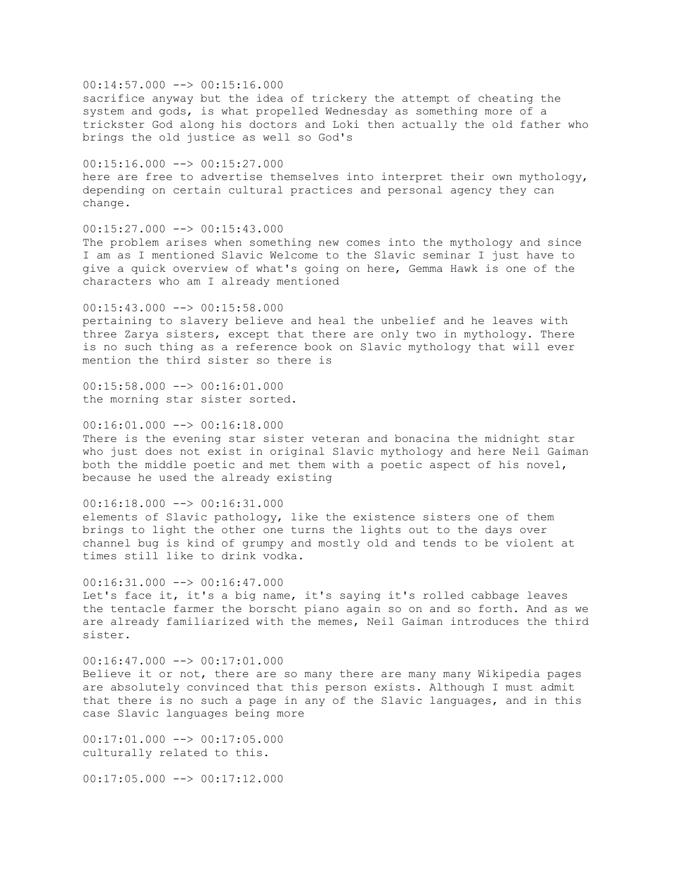$00:14:57.000$  -->  $00:15:16.000$ sacrifice anyway but the idea of trickery the attempt of cheating the system and gods, is what propelled Wednesday as something more of a trickster God along his doctors and Loki then actually the old father who brings the old justice as well so God's

 $00:15:16.000$  -->  $00:15:27.000$ here are free to advertise themselves into interpret their own mythology, depending on certain cultural practices and personal agency they can change.

 $00:15:27.000$  -->  $00:15:43.000$ The problem arises when something new comes into the mythology and since I am as I mentioned Slavic Welcome to the Slavic seminar I just have to give a quick overview of what's going on here, Gemma Hawk is one of the characters who am I already mentioned

 $00:15:43.000$  -->  $00:15:58.000$ pertaining to slavery believe and heal the unbelief and he leaves with three Zarya sisters, except that there are only two in mythology. There is no such thing as a reference book on Slavic mythology that will ever mention the third sister so there is

 $00:15:58.000$  -->  $00:16:01.000$ the morning star sister sorted.

 $00:16:01.000$  -->  $00:16:18.000$ There is the evening star sister veteran and bonacina the midnight star who just does not exist in original Slavic mythology and here Neil Gaiman both the middle poetic and met them with a poetic aspect of his novel, because he used the already existing

 $00:16:18.000$  -->  $00:16:31.000$ elements of Slavic pathology, like the existence sisters one of them brings to light the other one turns the lights out to the days over channel bug is kind of grumpy and mostly old and tends to be violent at times still like to drink vodka.

 $00:16:31.000$  -->  $00:16:47.000$ Let's face it, it's a big name, it's saying it's rolled cabbage leaves the tentacle farmer the borscht piano again so on and so forth. And as we are already familiarized with the memes, Neil Gaiman introduces the third sister.

 $00:16:47.000$   $\longrightarrow$   $00:17:01.000$ Believe it or not, there are so many there are many many Wikipedia pages are absolutely convinced that this person exists. Although I must admit that there is no such a page in any of the Slavic languages, and in this case Slavic languages being more

00:17:01.000 --> 00:17:05.000 culturally related to this.

 $00:17:05.000$   $\rightarrow$   $00:17:12.000$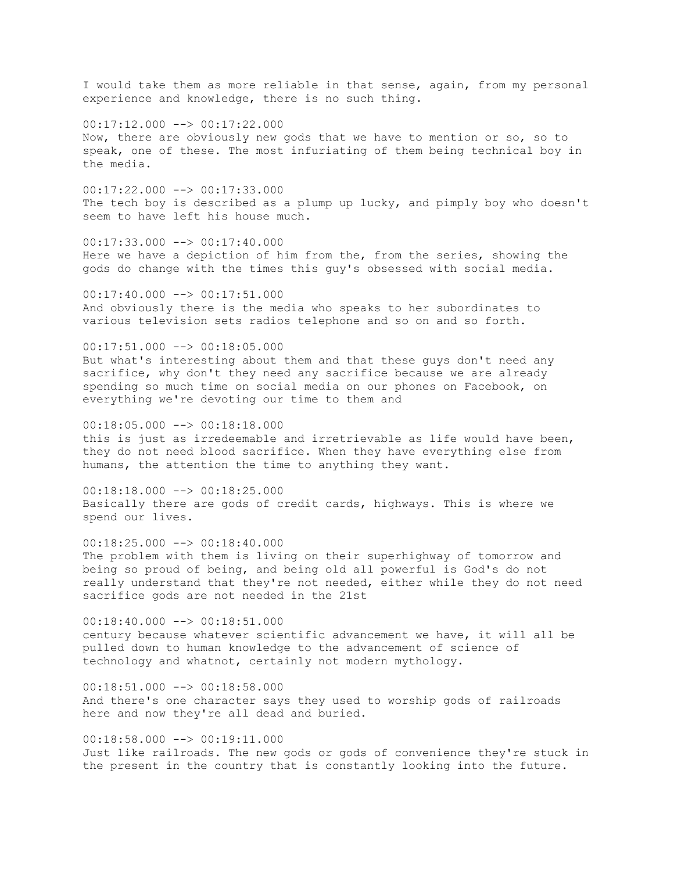I would take them as more reliable in that sense, again, from my personal experience and knowledge, there is no such thing.

 $00:17:12.000$   $\longrightarrow$   $00:17:22.000$ Now, there are obviously new gods that we have to mention or so, so to speak, one of these. The most infuriating of them being technical boy in the media.

00:17:22.000 --> 00:17:33.000 The tech boy is described as a plump up lucky, and pimply boy who doesn't seem to have left his house much.

 $00:17:33.000$  -->  $00:17:40.000$ Here we have a depiction of him from the, from the series, showing the gods do change with the times this guy's obsessed with social media.

00:17:40.000 --> 00:17:51.000 And obviously there is the media who speaks to her subordinates to various television sets radios telephone and so on and so forth.

 $00:17:51.000$  -->  $00:18:05.000$ But what's interesting about them and that these guys don't need any sacrifice, why don't they need any sacrifice because we are already spending so much time on social media on our phones on Facebook, on everything we're devoting our time to them and

 $00:18:05.000$  -->  $00:18:18.000$ this is just as irredeemable and irretrievable as life would have been, they do not need blood sacrifice. When they have everything else from humans, the attention the time to anything they want.

 $00:18:18.000$  -->  $00:18:25.000$ Basically there are gods of credit cards, highways. This is where we spend our lives.

 $00:18:25.000$  -->  $00:18:40.000$ The problem with them is living on their superhighway of tomorrow and being so proud of being, and being old all powerful is God's do not really understand that they're not needed, either while they do not need sacrifice gods are not needed in the 21st

00:18:40.000 --> 00:18:51.000 century because whatever scientific advancement we have, it will all be pulled down to human knowledge to the advancement of science of technology and whatnot, certainly not modern mythology.

 $00:18:51.000$  -->  $00:18:58.000$ And there's one character says they used to worship gods of railroads here and now they're all dead and buried.

00:18:58.000 --> 00:19:11.000 Just like railroads. The new gods or gods of convenience they're stuck in the present in the country that is constantly looking into the future.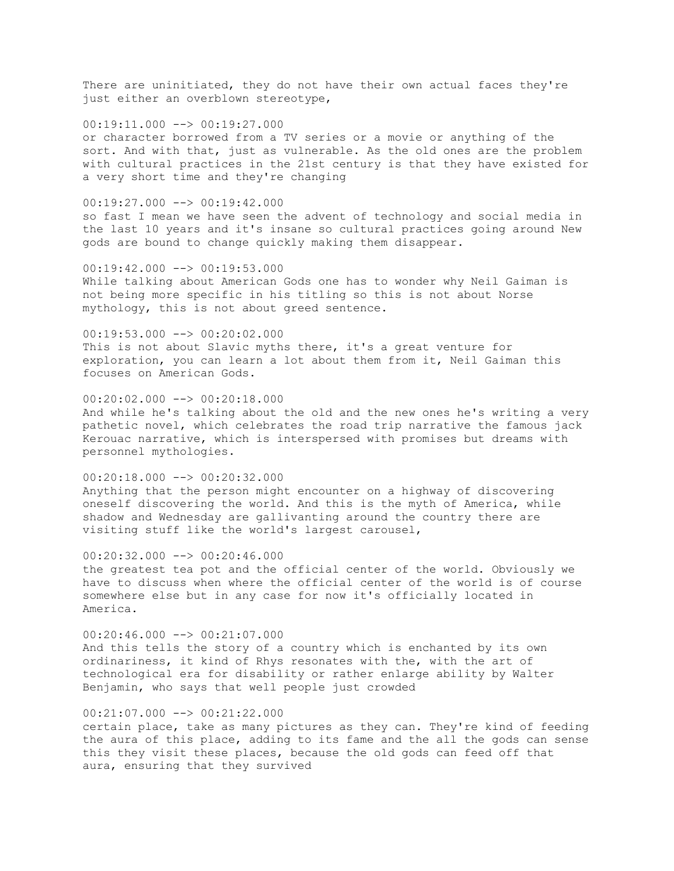There are uninitiated, they do not have their own actual faces they're just either an overblown stereotype,

 $00:19:11.000$   $\longrightarrow$   $00:19:27.000$ or character borrowed from a TV series or a movie or anything of the sort. And with that, just as vulnerable. As the old ones are the problem with cultural practices in the 21st century is that they have existed for a very short time and they're changing

 $00:19:27.000$  -->  $00:19:42.000$ 

so fast I mean we have seen the advent of technology and social media in the last 10 years and it's insane so cultural practices going around New gods are bound to change quickly making them disappear.

00:19:42.000 --> 00:19:53.000 While talking about American Gods one has to wonder why Neil Gaiman is not being more specific in his titling so this is not about Norse mythology, this is not about greed sentence.

00:19:53.000 --> 00:20:02.000 This is not about Slavic myths there, it's a great venture for exploration, you can learn a lot about them from it, Neil Gaiman this focuses on American Gods.

 $00:20:02.000$   $\rightarrow$   $\rightarrow$   $00:20:18.000$ And while he's talking about the old and the new ones he's writing a very pathetic novel, which celebrates the road trip narrative the famous jack Kerouac narrative, which is interspersed with promises but dreams with personnel mythologies.

00:20:18.000 --> 00:20:32.000 Anything that the person might encounter on a highway of discovering oneself discovering the world. And this is the myth of America, while shadow and Wednesday are gallivanting around the country there are visiting stuff like the world's largest carousel,

00:20:32.000 --> 00:20:46.000 the greatest tea pot and the official center of the world. Obviously we have to discuss when where the official center of the world is of course somewhere else but in any case for now it's officially located in America.

 $00:20:46.000$  -->  $00:21:07.000$ And this tells the story of a country which is enchanted by its own ordinariness, it kind of Rhys resonates with the, with the art of technological era for disability or rather enlarge ability by Walter Benjamin, who says that well people just crowded

00:21:07.000 --> 00:21:22.000

certain place, take as many pictures as they can. They're kind of feeding the aura of this place, adding to its fame and the all the gods can sense this they visit these places, because the old gods can feed off that aura, ensuring that they survived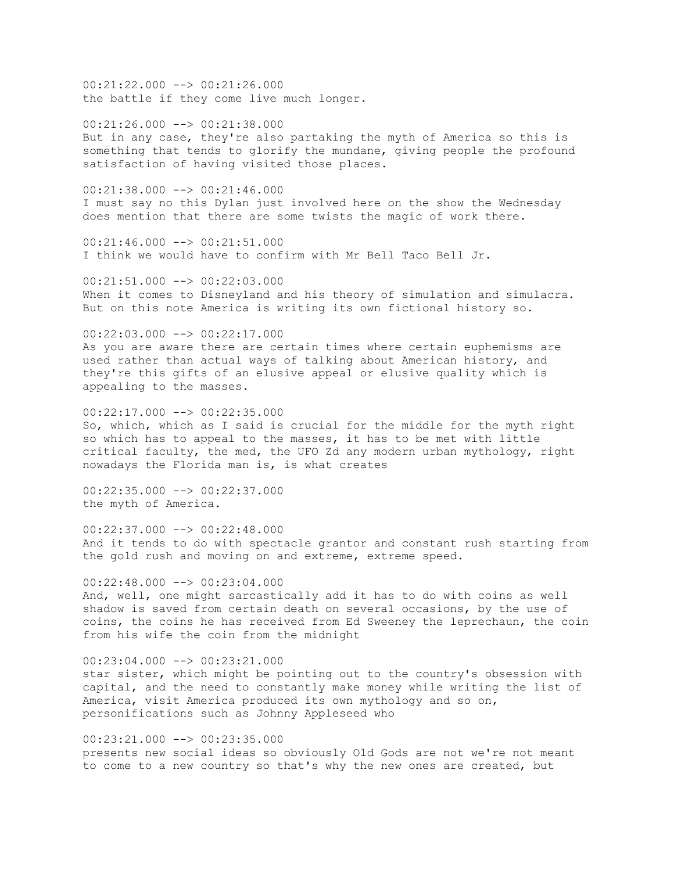00:21:22.000 --> 00:21:26.000 the battle if they come live much longer.

 $00:21:26.000$  -->  $00:21:38.000$ But in any case, they're also partaking the myth of America so this is something that tends to glorify the mundane, giving people the profound satisfaction of having visited those places.

00:21:38.000 --> 00:21:46.000 I must say no this Dylan just involved here on the show the Wednesday does mention that there are some twists the magic of work there.

 $00:21:46.000$  -->  $00:21:51.000$ I think we would have to confirm with Mr Bell Taco Bell Jr.

 $00:21:51.000$  -->  $00:22:03.000$ When it comes to Disneyland and his theory of simulation and simulacra. But on this note America is writing its own fictional history so.

00:22:03.000 --> 00:22:17.000 As you are aware there are certain times where certain euphemisms are used rather than actual ways of talking about American history, and they're this gifts of an elusive appeal or elusive quality which is appealing to the masses.

00:22:17.000 --> 00:22:35.000 So, which, which as I said is crucial for the middle for the myth right so which has to appeal to the masses, it has to be met with little critical faculty, the med, the UFO Zd any modern urban mythology, right nowadays the Florida man is, is what creates

 $00:22:35.000$  -->  $00:22:37.000$ the myth of America.

00:22:37.000 --> 00:22:48.000 And it tends to do with spectacle grantor and constant rush starting from the gold rush and moving on and extreme, extreme speed.

 $00:22:48.000$  -->  $00:23:04.000$ And, well, one might sarcastically add it has to do with coins as well shadow is saved from certain death on several occasions, by the use of coins, the coins he has received from Ed Sweeney the leprechaun, the coin from his wife the coin from the midnight

 $00:23:04.000$  -->  $00:23:21.000$ star sister, which might be pointing out to the country's obsession with capital, and the need to constantly make money while writing the list of America, visit America produced its own mythology and so on, personifications such as Johnny Appleseed who

00:23:21.000 --> 00:23:35.000 presents new social ideas so obviously Old Gods are not we're not meant to come to a new country so that's why the new ones are created, but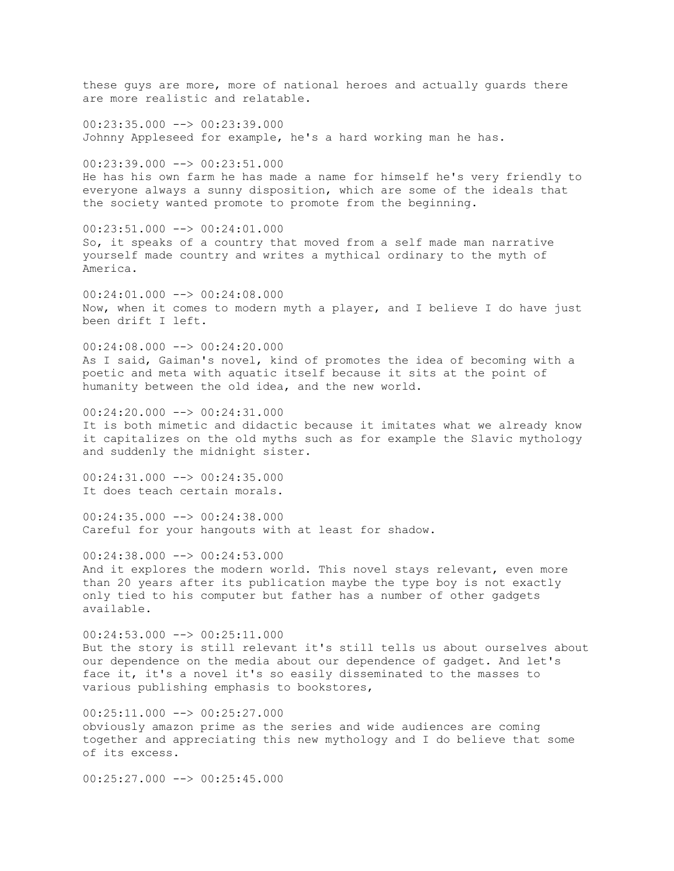these guys are more, more of national heroes and actually guards there are more realistic and relatable.  $00:23:35.000$  -->  $00:23:39.000$ Johnny Appleseed for example, he's a hard working man he has.  $00:23:39.000$  -->  $00:23:51.000$ He has his own farm he has made a name for himself he's very friendly to everyone always a sunny disposition, which are some of the ideals that the society wanted promote to promote from the beginning. 00:23:51.000 --> 00:24:01.000 So, it speaks of a country that moved from a self made man narrative yourself made country and writes a mythical ordinary to the myth of America. 00:24:01.000 --> 00:24:08.000 Now, when it comes to modern myth a player, and I believe I do have just been drift I left.  $00:24:08.000$  -->  $00:24:20.000$ As I said, Gaiman's novel, kind of promotes the idea of becoming with a poetic and meta with aquatic itself because it sits at the point of humanity between the old idea, and the new world. 00:24:20.000 --> 00:24:31.000 It is both mimetic and didactic because it imitates what we already know it capitalizes on the old myths such as for example the Slavic mythology and suddenly the midnight sister. 00:24:31.000 --> 00:24:35.000 It does teach certain morals.  $00:24:35.000$  -->  $00:24:38.000$ Careful for your hangouts with at least for shadow.  $00:24:38.000$  -->  $00:24:53.000$ And it explores the modern world. This novel stays relevant, even more than 20 years after its publication maybe the type boy is not exactly only tied to his computer but father has a number of other gadgets available.  $00:24:53.000$  -->  $00:25:11.000$ But the story is still relevant it's still tells us about ourselves about our dependence on the media about our dependence of gadget. And let's face it, it's a novel it's so easily disseminated to the masses to various publishing emphasis to bookstores, 00:25:11.000 --> 00:25:27.000 obviously amazon prime as the series and wide audiences are coming together and appreciating this new mythology and I do believe that some of its excess.

 $00:25:27.000$  -->  $00:25:45.000$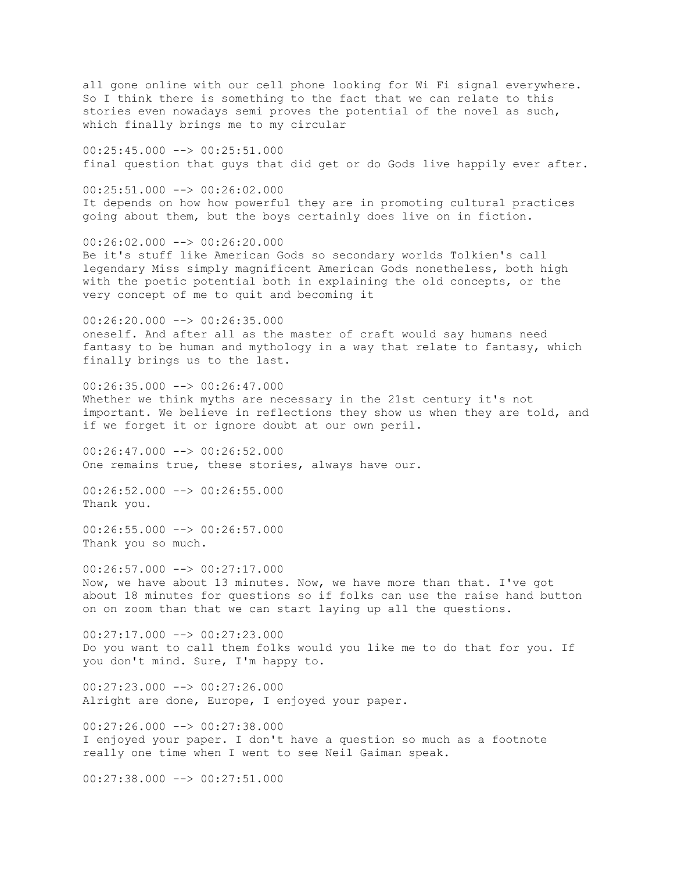all gone online with our cell phone looking for Wi Fi signal everywhere. So I think there is something to the fact that we can relate to this stories even nowadays semi proves the potential of the novel as such, which finally brings me to my circular 00:25:45.000 --> 00:25:51.000 final question that guys that did get or do Gods live happily ever after.  $00:25:51.000$  -->  $00:26:02.000$ It depends on how how powerful they are in promoting cultural practices going about them, but the boys certainly does live on in fiction. 00:26:02.000 --> 00:26:20.000 Be it's stuff like American Gods so secondary worlds Tolkien's call legendary Miss simply magnificent American Gods nonetheless, both high with the poetic potential both in explaining the old concepts, or the very concept of me to quit and becoming it  $00:26:20.000$  -->  $00:26:35.000$ oneself. And after all as the master of craft would say humans need fantasy to be human and mythology in a way that relate to fantasy, which finally brings us to the last. 00:26:35.000 --> 00:26:47.000 Whether we think myths are necessary in the 21st century it's not important. We believe in reflections they show us when they are told, and if we forget it or ignore doubt at our own peril. 00:26:47.000 --> 00:26:52.000 One remains true, these stories, always have our.  $00:26:52.000$  -->  $00:26:55.000$ Thank you.  $00:26:55.000$  -->  $00:26:57.000$ Thank you so much.  $00:26:57.000$  -->  $00:27:17.000$ Now, we have about 13 minutes. Now, we have more than that. I've got about 18 minutes for questions so if folks can use the raise hand button on on zoom than that we can start laying up all the questions.  $00:27:17.000$  -->  $00:27:23.000$ Do you want to call them folks would you like me to do that for you. If you don't mind. Sure, I'm happy to.  $00:27:23.000$  -->  $00:27:26.000$ Alright are done, Europe, I enjoyed your paper. 00:27:26.000 --> 00:27:38.000 I enjoyed your paper. I don't have a question so much as a footnote really one time when I went to see Neil Gaiman speak.  $00:27:38.000$   $\rightarrow$   $\rightarrow$   $00:27:51.000$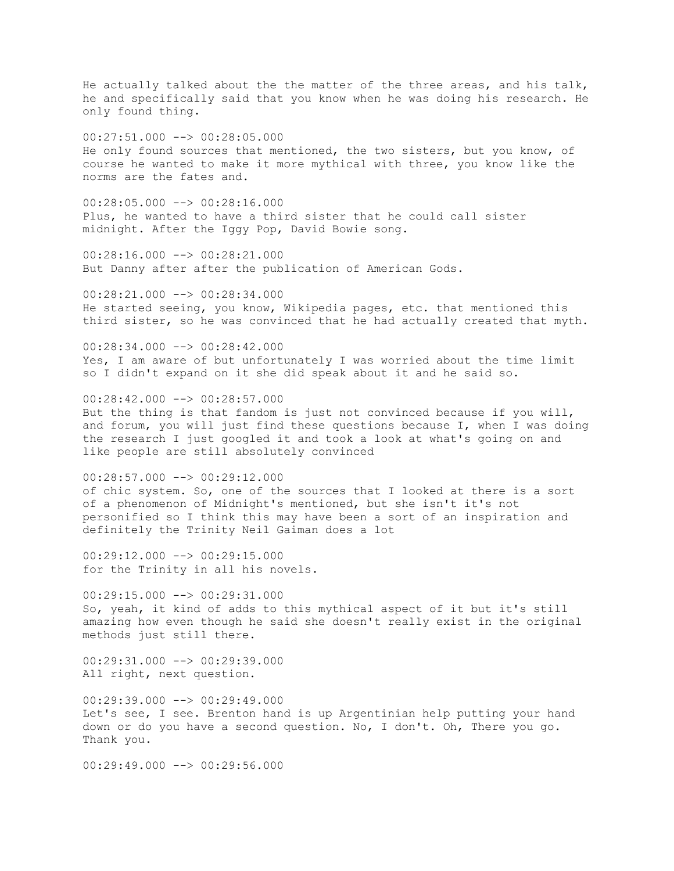He actually talked about the the matter of the three areas, and his talk, he and specifically said that you know when he was doing his research. He only found thing.

00:27:51.000 --> 00:28:05.000 He only found sources that mentioned, the two sisters, but you know, of course he wanted to make it more mythical with three, you know like the norms are the fates and.

 $00:28:05.000$  -->  $00:28:16.000$ Plus, he wanted to have a third sister that he could call sister midnight. After the Iggy Pop, David Bowie song.

00:28:16.000 --> 00:28:21.000 But Danny after after the publication of American Gods.

00:28:21.000 --> 00:28:34.000 He started seeing, you know, Wikipedia pages, etc. that mentioned this third sister, so he was convinced that he had actually created that myth.

 $00:28:34.000$  -->  $00:28:42.000$ Yes, I am aware of but unfortunately I was worried about the time limit so I didn't expand on it she did speak about it and he said so.

 $00:28:42.000$  -->  $00:28:57.000$ But the thing is that fandom is just not convinced because if you will, and forum, you will just find these questions because I, when I was doing the research I just googled it and took a look at what's going on and like people are still absolutely convinced

00:28:57.000 --> 00:29:12.000 of chic system. So, one of the sources that I looked at there is a sort of a phenomenon of Midnight's mentioned, but she isn't it's not personified so I think this may have been a sort of an inspiration and definitely the Trinity Neil Gaiman does a lot

00:29:12.000 --> 00:29:15.000 for the Trinity in all his novels.

 $00:29:15.000$   $\rightarrow$   $00:29:31.000$ So, yeah, it kind of adds to this mythical aspect of it but it's still amazing how even though he said she doesn't really exist in the original methods just still there.

00:29:31.000 --> 00:29:39.000 All right, next question.

 $00:29:39.000$   $\longrightarrow 00:29:49.000$ Let's see, I see. Brenton hand is up Argentinian help putting your hand down or do you have a second question. No, I don't. Oh, There you go. Thank you.

 $00:29:49.000$  -->  $00:29:56.000$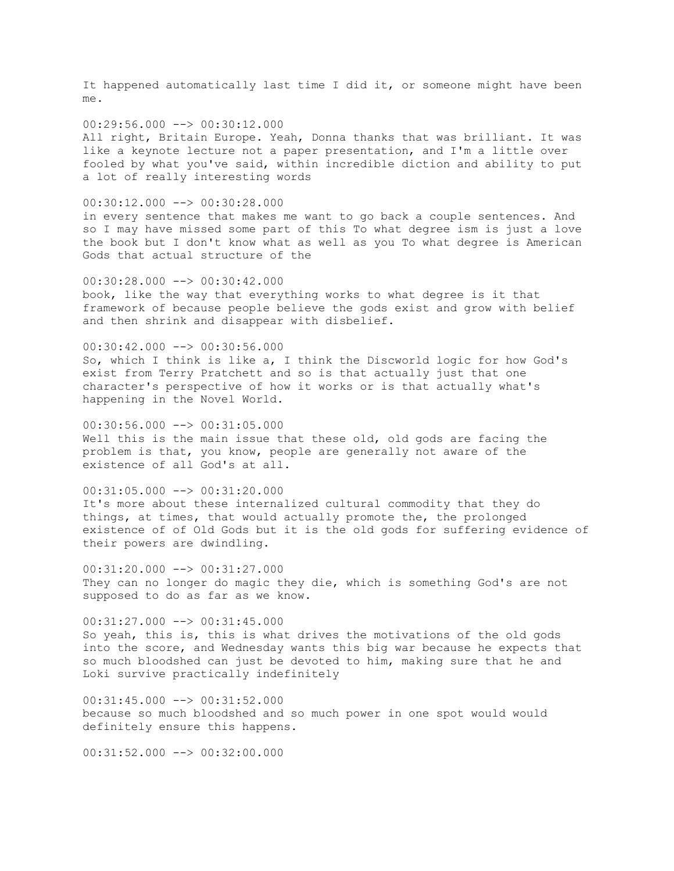It happened automatically last time I did it, or someone might have been me.

 $00:29:56.000$   $\longrightarrow$   $00:30:12.000$ All right, Britain Europe. Yeah, Donna thanks that was brilliant. It was like a keynote lecture not a paper presentation, and I'm a little over fooled by what you've said, within incredible diction and ability to put a lot of really interesting words

00:30:12.000 --> 00:30:28.000

in every sentence that makes me want to go back a couple sentences. And so I may have missed some part of this To what degree ism is just a love the book but I don't know what as well as you To what degree is American Gods that actual structure of the

 $00:30:28.000$  -->  $00:30:42.000$ book, like the way that everything works to what degree is it that framework of because people believe the gods exist and grow with belief and then shrink and disappear with disbelief.

00:30:42.000 --> 00:30:56.000 So, which I think is like a, I think the Discworld logic for how God's exist from Terry Pratchett and so is that actually just that one character's perspective of how it works or is that actually what's happening in the Novel World.

 $00:30:56.000$  -->  $00:31:05.000$ Well this is the main issue that these old, old gods are facing the problem is that, you know, people are generally not aware of the existence of all God's at all.

 $00:31:05.000$  -->  $00:31:20.000$ It's more about these internalized cultural commodity that they do things, at times, that would actually promote the, the prolonged existence of of Old Gods but it is the old gods for suffering evidence of their powers are dwindling.

00:31:20.000 --> 00:31:27.000 They can no longer do magic they die, which is something God's are not supposed to do as far as we know.

00:31:27.000 --> 00:31:45.000 So yeah, this is, this is what drives the motivations of the old gods into the score, and Wednesday wants this big war because he expects that so much bloodshed can just be devoted to him, making sure that he and Loki survive practically indefinitely

 $00:31:45.000$   $\rightarrow$   $00:31:52.000$ because so much bloodshed and so much power in one spot would would definitely ensure this happens.

 $00:31:52.000$  -->  $00:32:00.000$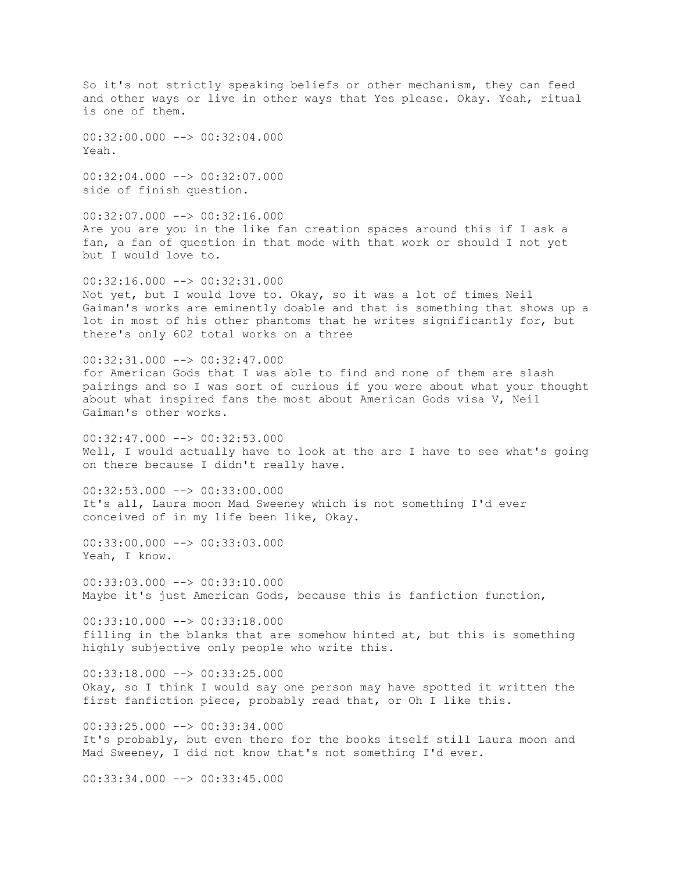So it's not strictly speaking beliefs or other mechanism, they can feed and other ways or live in other ways that Yes please. Okay. Yeah, ritual is one of them.

 $00:32:00.000$  -->  $00:32:04.000$ Yeah.

00:32:04.000 --> 00:32:07.000 side of finish question.

 $00:32:07.000$  -->  $00:32:16.000$ Are you are you in the like fan creation spaces around this if I ask a fan, a fan of question in that mode with that work or should I not yet but I would love to.

00:32:16.000 --> 00:32:31.000 Not yet, but I would love to. Okay, so it was a lot of times Neil Gaiman's works are eminently doable and that is something that shows up a lot in most of his other phantoms that he writes significantly for, but there's only 602 total works on a three

00:32:31.000 --> 00:32:47.000

for American Gods that I was able to find and none of them are slash pairings and so I was sort of curious if you were about what your thought about what inspired fans the most about American Gods visa V, Neil Gaiman's other works.

 $00:32:47.000$   $\longrightarrow$   $00:32:53.000$ Well, I would actually have to look at the arc I have to see what's going on there because I didn't really have.

 $00:32:53.000$   $\longrightarrow$   $00:33:00.000$ It's all, Laura moon Mad Sweeney which is not something I'd ever conceived of in my life been like, Okay.

00:33:00.000 --> 00:33:03.000 Yeah, I know.

 $00:33:03.000$  -->  $00:33:10.000$ Maybe it's just American Gods, because this is fanfiction function,

00:33:10.000 --> 00:33:18.000 filling in the blanks that are somehow hinted at, but this is something highly subjective only people who write this.

 $00:33:18.000$   $\rightarrow$   $\rightarrow$  00:33:25.000 Okay, so I think I would say one person may have spotted it written the first fanfiction piece, probably read that, or Oh I like this.

 $00:33:25.000$  -->  $00:33:34.000$ It's probably, but even there for the books itself still Laura moon and Mad Sweeney, I did not know that's not something I'd ever.

 $00:33:34.000$   $\rightarrow$   $\rightarrow$  00:33:45.000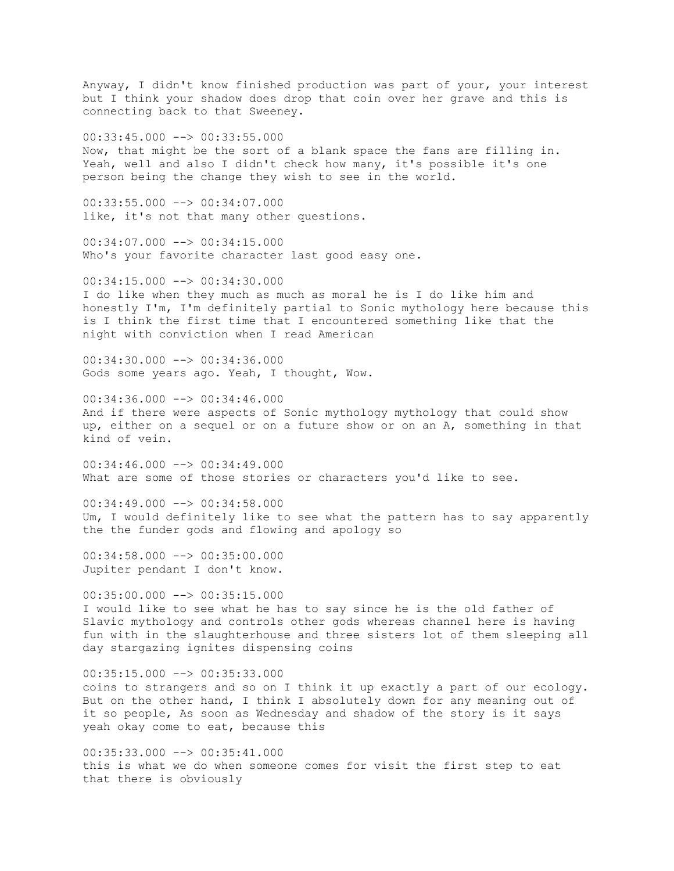Anyway, I didn't know finished production was part of your, your interest but I think your shadow does drop that coin over her grave and this is connecting back to that Sweeney.

00:33:45.000 --> 00:33:55.000 Now, that might be the sort of a blank space the fans are filling in. Yeah, well and also I didn't check how many, it's possible it's one person being the change they wish to see in the world.

00:33:55.000 --> 00:34:07.000 like, it's not that many other questions.

 $00:34:07.000$  -->  $00:34:15.000$ Who's your favorite character last good easy one.

 $00:34:15.000$  -->  $00:34:30.000$ I do like when they much as much as moral he is I do like him and honestly I'm, I'm definitely partial to Sonic mythology here because this is I think the first time that I encountered something like that the night with conviction when I read American

00:34:30.000 --> 00:34:36.000 Gods some years ago. Yeah, I thought, Wow.

 $00:34:36.000$  -->  $00:34:46.000$ And if there were aspects of Sonic mythology mythology that could show up, either on a sequel or on a future show or on an A, something in that kind of vein.

00:34:46.000 --> 00:34:49.000 What are some of those stories or characters you'd like to see.

 $00:34:49.000$  -->  $00:34:58.000$ Um, I would definitely like to see what the pattern has to say apparently the the funder gods and flowing and apology so

00:34:58.000 --> 00:35:00.000 Jupiter pendant I don't know.

 $00:35:00.000$  -->  $00:35:15.000$ I would like to see what he has to say since he is the old father of Slavic mythology and controls other gods whereas channel here is having fun with in the slaughterhouse and three sisters lot of them sleeping all day stargazing ignites dispensing coins

 $00:35:15.000$   $\rightarrow$   $\rightarrow$  00:35:33.000 coins to strangers and so on I think it up exactly a part of our ecology. But on the other hand, I think I absolutely down for any meaning out of it so people, As soon as Wednesday and shadow of the story is it says yeah okay come to eat, because this

 $00:35:33.000$  -->  $00:35:41.000$ this is what we do when someone comes for visit the first step to eat that there is obviously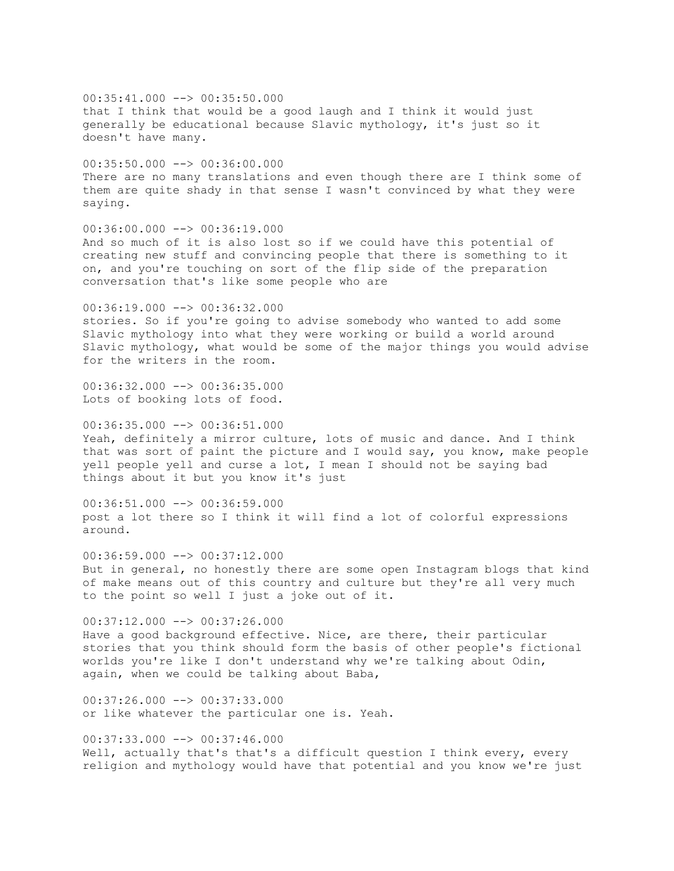$00:35:41.000$  -->  $00:35:50.000$ that I think that would be a good laugh and I think it would just generally be educational because Slavic mythology, it's just so it doesn't have many.  $00:35:50.000$  -->  $00:36:00.000$ There are no many translations and even though there are I think some of them are quite shady in that sense I wasn't convinced by what they were saying. 00:36:00.000 --> 00:36:19.000 And so much of it is also lost so if we could have this potential of creating new stuff and convincing people that there is something to it on, and you're touching on sort of the flip side of the preparation conversation that's like some people who are  $00:36:19.000$  -->  $00:36:32.000$ stories. So if you're going to advise somebody who wanted to add some Slavic mythology into what they were working or build a world around Slavic mythology, what would be some of the major things you would advise for the writers in the room. 00:36:32.000 --> 00:36:35.000 Lots of booking lots of food. 00:36:35.000 --> 00:36:51.000 Yeah, definitely a mirror culture, lots of music and dance. And I think that was sort of paint the picture and I would say, you know, make people yell people yell and curse a lot, I mean I should not be saying bad things about it but you know it's just  $00:36:51.000$  -->  $00:36:59.000$ post a lot there so I think it will find a lot of colorful expressions around. 00:36:59.000 --> 00:37:12.000 But in general, no honestly there are some open Instagram blogs that kind of make means out of this country and culture but they're all very much to the point so well I just a joke out of it. 00:37:12.000 --> 00:37:26.000 Have a good background effective. Nice, are there, their particular stories that you think should form the basis of other people's fictional worlds you're like I don't understand why we're talking about Odin,

 $00:37:26.000$   $\longrightarrow$   $00:37:33.000$ or like whatever the particular one is. Yeah.

again, when we could be talking about Baba,

00:37:33.000 --> 00:37:46.000 Well, actually that's that's a difficult question I think every, every religion and mythology would have that potential and you know we're just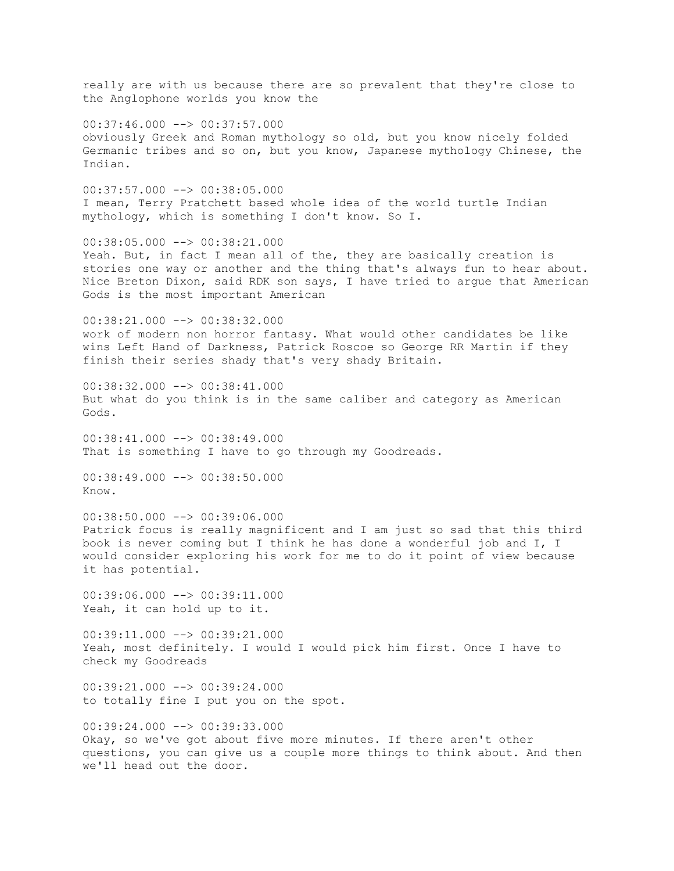really are with us because there are so prevalent that they're close to the Anglophone worlds you know the 00:37:46.000 --> 00:37:57.000 obviously Greek and Roman mythology so old, but you know nicely folded Germanic tribes and so on, but you know, Japanese mythology Chinese, the Indian. 00:37:57.000 --> 00:38:05.000 I mean, Terry Pratchett based whole idea of the world turtle Indian mythology, which is something I don't know. So I. 00:38:05.000 --> 00:38:21.000 Yeah. But, in fact I mean all of the, they are basically creation is stories one way or another and the thing that's always fun to hear about. Nice Breton Dixon, said RDK son says, I have tried to argue that American Gods is the most important American 00:38:21.000 --> 00:38:32.000 work of modern non horror fantasy. What would other candidates be like wins Left Hand of Darkness, Patrick Roscoe so George RR Martin if they finish their series shady that's very shady Britain. 00:38:32.000 --> 00:38:41.000 But what do you think is in the same caliber and category as American Gods.  $00:38:41.000$  -->  $00:38:49.000$ That is something I have to go through my Goodreads. 00:38:49.000 --> 00:38:50.000 Know.  $00:38:50.000$  -->  $00:39:06.000$ Patrick focus is really magnificent and I am just so sad that this third book is never coming but I think he has done a wonderful job and I, I would consider exploring his work for me to do it point of view because it has potential.  $00:39:06.000$   $\longrightarrow$   $00:39:11.000$ Yeah, it can hold up to it. 00:39:11.000 --> 00:39:21.000 Yeah, most definitely. I would I would pick him first. Once I have to check my Goodreads  $00:39:21.000$  -->  $00:39:24.000$ to totally fine I put you on the spot. 00:39:24.000 --> 00:39:33.000 Okay, so we've got about five more minutes. If there aren't other questions, you can give us a couple more things to think about. And then

we'll head out the door.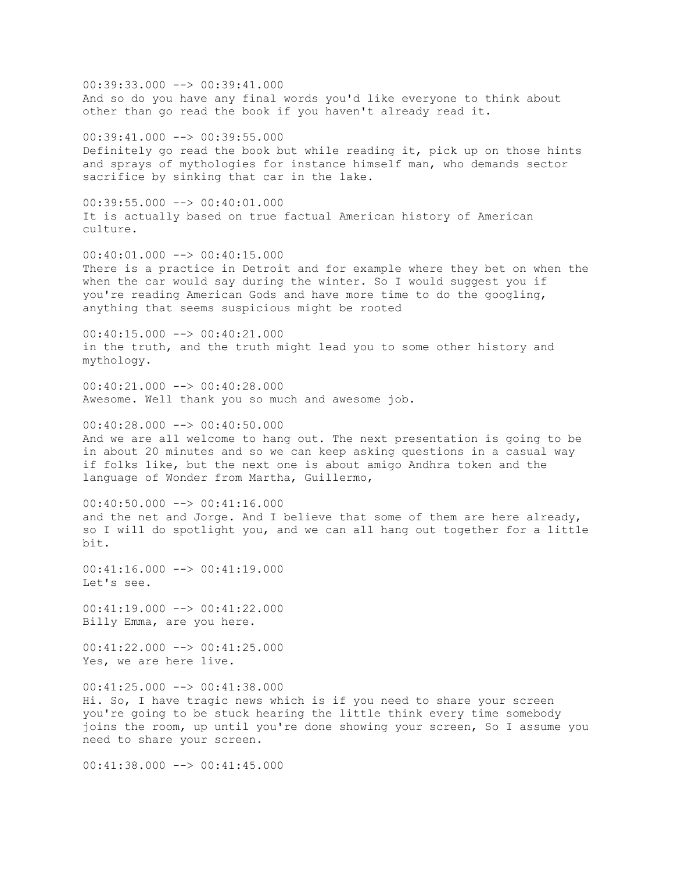00:39:33.000 --> 00:39:41.000 And so do you have any final words you'd like everyone to think about other than go read the book if you haven't already read it. 00:39:41.000 --> 00:39:55.000 Definitely go read the book but while reading it, pick up on those hints and sprays of mythologies for instance himself man, who demands sector sacrifice by sinking that car in the lake. 00:39:55.000 --> 00:40:01.000 It is actually based on true factual American history of American culture.  $00:40:01.000$  -->  $00:40:15.000$ There is a practice in Detroit and for example where they bet on when the when the car would say during the winter. So I would suggest you if you're reading American Gods and have more time to do the googling, anything that seems suspicious might be rooted 00:40:15.000 --> 00:40:21.000 in the truth, and the truth might lead you to some other history and mythology.  $00:40:21.000$  -->  $00:40:28.000$ Awesome. Well thank you so much and awesome job.  $00:40:28.000$  -->  $00:40:50.000$ And we are all welcome to hang out. The next presentation is going to be in about 20 minutes and so we can keep asking questions in a casual way if folks like, but the next one is about amigo Andhra token and the language of Wonder from Martha, Guillermo,  $00:40:50.000$  -->  $00:41:16.000$ and the net and Jorge. And I believe that some of them are here already, so I will do spotlight you, and we can all hang out together for a little bit.  $00:41:16.000$  -->  $00:41:19.000$ Let's see. 00:41:19.000 --> 00:41:22.000 Billy Emma, are you here.  $00:41:22.000$  -->  $00:41:25.000$ Yes, we are here live.  $00:41:25.000$  -->  $00:41:38.000$ Hi. So, I have tragic news which is if you need to share your screen you're going to be stuck hearing the little think every time somebody joins the room, up until you're done showing your screen, So I assume you need to share your screen.  $00:41:38.000$  -->  $00:41:45.000$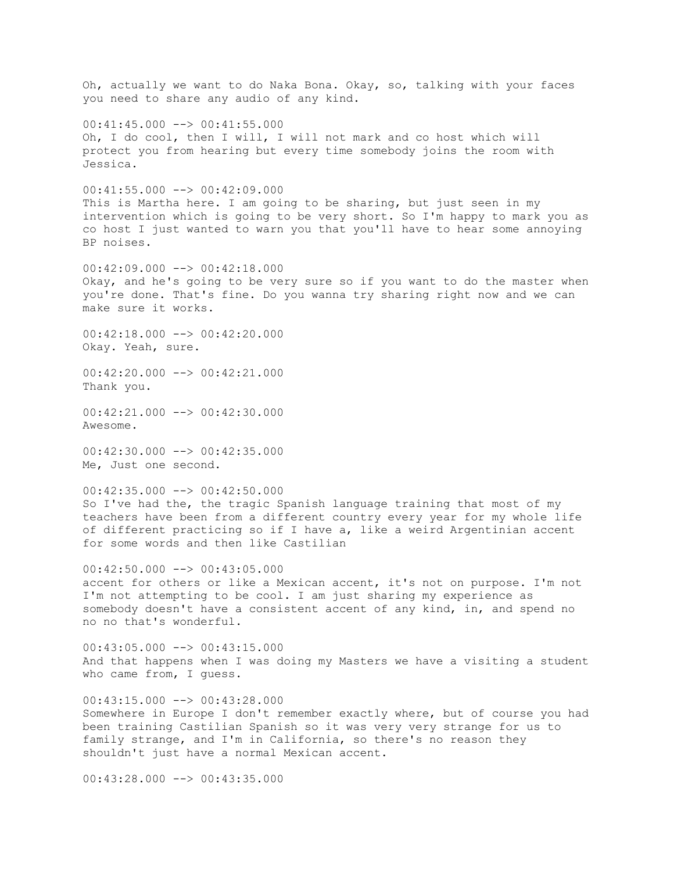Oh, actually we want to do Naka Bona. Okay, so, talking with your faces you need to share any audio of any kind.  $00:41:45.000$   $\longrightarrow$  00:41:55.000 Oh, I do cool, then I will, I will not mark and co host which will protect you from hearing but every time somebody joins the room with Jessica.  $00:41:55.000$  -->  $00:42:09.000$ This is Martha here. I am going to be sharing, but just seen in my intervention which is going to be very short. So I'm happy to mark you as co host I just wanted to warn you that you'll have to hear some annoying BP noises.  $00:42:09.000$  -->  $00:42:18.000$ Okay, and he's going to be very sure so if you want to do the master when you're done. That's fine. Do you wanna try sharing right now and we can make sure it works.  $00:42:18.000$  -->  $00:42:20.000$ Okay. Yeah, sure. 00:42:20.000 --> 00:42:21.000 Thank you. 00:42:21.000 --> 00:42:30.000 Awesome. 00:42:30.000 --> 00:42:35.000 Me, Just one second.  $00:42:35.000$  -->  $00:42:50.000$ So I've had the, the tragic Spanish language training that most of my teachers have been from a different country every year for my whole life of different practicing so if I have a, like a weird Argentinian accent for some words and then like Castilian  $00:42:50.000$  -->  $00:43:05.000$ accent for others or like a Mexican accent, it's not on purpose. I'm not I'm not attempting to be cool. I am just sharing my experience as somebody doesn't have a consistent accent of any kind, in, and spend no no no that's wonderful. 00:43:05.000 --> 00:43:15.000 And that happens when I was doing my Masters we have a visiting a student who came from, I guess.  $00:43:15.000$   $\longrightarrow$   $00:43:28.000$ Somewhere in Europe I don't remember exactly where, but of course you had been training Castilian Spanish so it was very very strange for us to family strange, and I'm in California, so there's no reason they shouldn't just have a normal Mexican accent.  $00:43:28.000$   $\rightarrow$   $\rightarrow$  00:43:35.000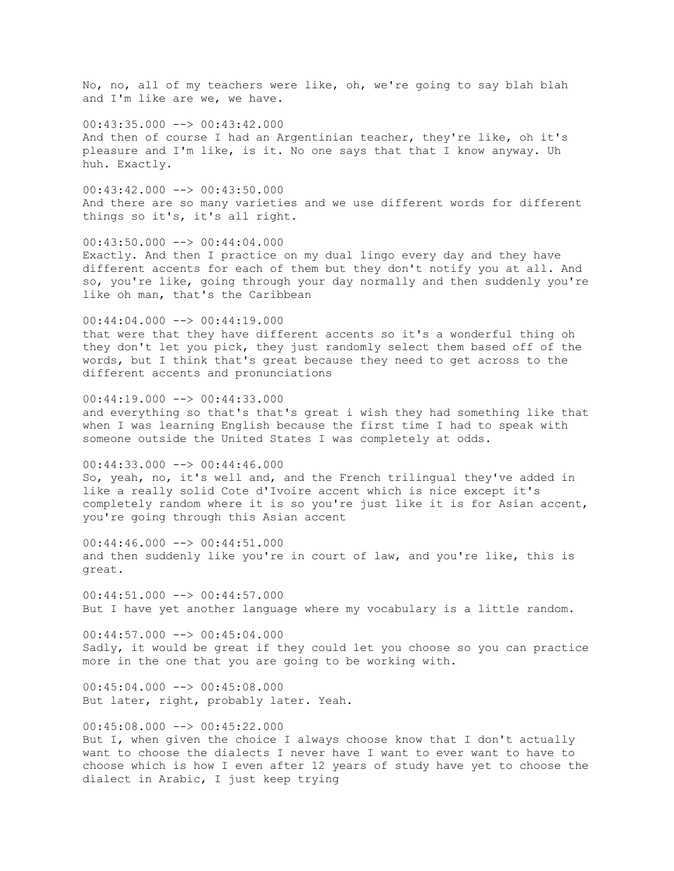No, no, all of my teachers were like, oh, we're going to say blah blah and I'm like are we, we have.

 $00:43:35.000$   $\longrightarrow$  00:43:42.000 And then of course I had an Argentinian teacher, they're like, oh it's pleasure and I'm like, is it. No one says that that I know anyway. Uh huh. Exactly.

 $00:43:42.000$  -->  $00:43:50.000$ And there are so many varieties and we use different words for different things so it's, it's all right.

 $00:43:50.000$  -->  $00:44:04.000$ Exactly. And then I practice on my dual lingo every day and they have different accents for each of them but they don't notify you at all. And so, you're like, going through your day normally and then suddenly you're like oh man, that's the Caribbean

 $00:44:04.000$  -->  $00:44:19.000$ that were that they have different accents so it's a wonderful thing oh they don't let you pick, they just randomly select them based off of the words, but I think that's great because they need to get across to the different accents and pronunciations

 $00:44:19.000$  -->  $00:44:33.000$ and everything so that's that's great i wish they had something like that when I was learning English because the first time I had to speak with someone outside the United States I was completely at odds.

00:44:33.000 --> 00:44:46.000 So, yeah, no, it's well and, and the French trilingual they've added in like a really solid Cote d'Ivoire accent which is nice except it's completely random where it is so you're just like it is for Asian accent, you're going through this Asian accent

 $00:44:46.000$   $\longrightarrow$   $00:44:51.000$ and then suddenly like you're in court of law, and you're like, this is great.

 $00:44:51.000$  -->  $00:44:57.000$ But I have yet another language where my vocabulary is a little random.

 $00:44:57.000$  -->  $00:45:04.000$ Sadly, it would be great if they could let you choose so you can practice more in the one that you are going to be working with.

 $00:45:04.000$  -->  $00:45:08.000$ But later, right, probably later. Yeah.

 $00:45:08.000$  -->  $00:45:22.000$ But I, when given the choice I always choose know that I don't actually want to choose the dialects I never have I want to ever want to have to choose which is how I even after 12 years of study have yet to choose the dialect in Arabic, I just keep trying